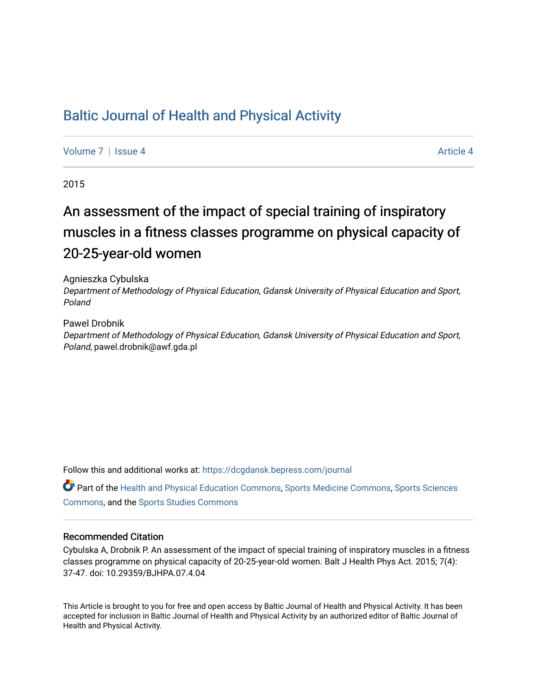# [Baltic Journal of Health and Physical Activity](https://dcgdansk.bepress.com/journal)

[Volume 7](https://dcgdansk.bepress.com/journal/vol7) | [Issue 4](https://dcgdansk.bepress.com/journal/vol7/iss4) Article 4

2015

# An assessment of the impact of special training of inspiratory muscles in a fitness classes programme on physical capacity of 20-25-year-old women

Agnieszka Cybulska Department of Methodology of Physical Education, Gdansk University of Physical Education and Sport, Poland

Pawel Drobnik Department of Methodology of Physical Education, Gdansk University of Physical Education and Sport, Poland, pawel.drobnik@awf.gda.pl

Follow this and additional works at: [https://dcgdansk.bepress.com/journal](https://dcgdansk.bepress.com/journal?utm_source=dcgdansk.bepress.com%2Fjournal%2Fvol7%2Fiss4%2F4&utm_medium=PDF&utm_campaign=PDFCoverPages)

Part of the [Health and Physical Education Commons](http://network.bepress.com/hgg/discipline/1327?utm_source=dcgdansk.bepress.com%2Fjournal%2Fvol7%2Fiss4%2F4&utm_medium=PDF&utm_campaign=PDFCoverPages), [Sports Medicine Commons,](http://network.bepress.com/hgg/discipline/1331?utm_source=dcgdansk.bepress.com%2Fjournal%2Fvol7%2Fiss4%2F4&utm_medium=PDF&utm_campaign=PDFCoverPages) [Sports Sciences](http://network.bepress.com/hgg/discipline/759?utm_source=dcgdansk.bepress.com%2Fjournal%2Fvol7%2Fiss4%2F4&utm_medium=PDF&utm_campaign=PDFCoverPages) [Commons](http://network.bepress.com/hgg/discipline/759?utm_source=dcgdansk.bepress.com%2Fjournal%2Fvol7%2Fiss4%2F4&utm_medium=PDF&utm_campaign=PDFCoverPages), and the [Sports Studies Commons](http://network.bepress.com/hgg/discipline/1198?utm_source=dcgdansk.bepress.com%2Fjournal%2Fvol7%2Fiss4%2F4&utm_medium=PDF&utm_campaign=PDFCoverPages) 

#### Recommended Citation

Cybulska A, Drobnik P. An assessment of the impact of special training of inspiratory muscles in a fitness classes programme on physical capacity of 20-25-year-old women. Balt J Health Phys Act. 2015; 7(4): 37-47. doi: 10.29359/BJHPA.07.4.04

This Article is brought to you for free and open access by Baltic Journal of Health and Physical Activity. It has been accepted for inclusion in Baltic Journal of Health and Physical Activity by an authorized editor of Baltic Journal of Health and Physical Activity.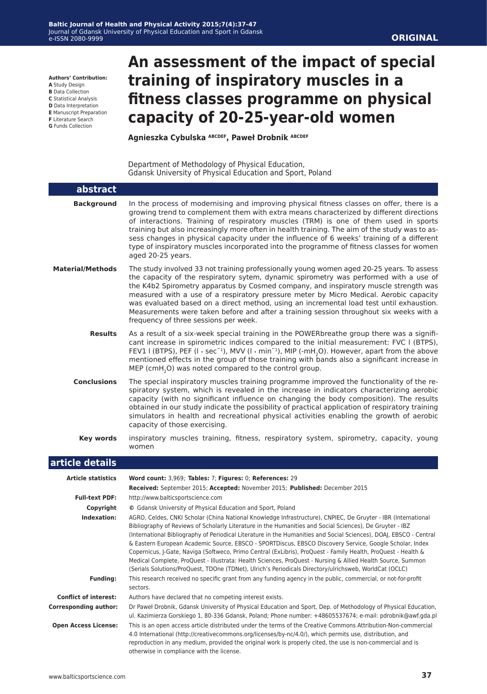**Authors' Contribution:**

- **A** Study Design
- **B** Data Collection
- **C** Statistical Analysis **D** Data Interpretation
- **E** Manuscript Preparation
- **F** Literature Search
- **G** Funds Collection

# **An assessment of the impact of special training of inspiratory muscles in a fitness classes programme on physical capacity of 20-25-year-old women**

**Agnieszka Cybulska ABCDEF, Paweł Drobnik ABCDEF**

Department of Methodology of Physical Education, Gdansk University of Physical Education and Sport, Poland

| abstract                     |                                                                                                                                                                                                                                                                                                                                                                                                                                                                                                                                                                                                                                                                                                                                                                                                      |
|------------------------------|------------------------------------------------------------------------------------------------------------------------------------------------------------------------------------------------------------------------------------------------------------------------------------------------------------------------------------------------------------------------------------------------------------------------------------------------------------------------------------------------------------------------------------------------------------------------------------------------------------------------------------------------------------------------------------------------------------------------------------------------------------------------------------------------------|
| <b>Background</b>            | In the process of modernising and improving physical fitness classes on offer, there is a<br>growing trend to complement them with extra means characterized by different directions<br>of interactions. Training of respiratory muscles (TRM) is one of them used in sports<br>training but also increasingly more often in health training. The aim of the study was to as-<br>sess changes in physical capacity under the influence of 6 weeks' training of a different<br>type of inspiratory muscles incorporated into the programme of fitness classes for women<br>aged 20-25 years.                                                                                                                                                                                                          |
| <b>Material/Methods</b>      | The study involved 33 not training professionally young women aged 20-25 years. To assess<br>the capacity of the respiratory sytem, dynamic spirometry was performed with a use of<br>the K4b2 Spirometry apparatus by Cosmed company, and inspiratory muscle strength was<br>measured with a use of a respiratory pressure meter by Micro Medical. Aerobic capacity<br>was evaluated based on a direct method, using an incremental load test until exhaustion.<br>Measurements were taken before and after a training session throughout six weeks with a<br>frequency of three sessions per week.                                                                                                                                                                                                 |
| <b>Results</b>               | As a result of a six-week special training in the POWERbreathe group there was a signifi-<br>cant increase in spirometric indices compared to the initial measurement: FVC I (BTPS),<br>FEV1 I (BTPS), PEF ( $I \cdot \sec^{-1}$ ), MVV ( $I \cdot \min^{-1}$ ), MIP (-mH <sub>2</sub> O). However, apart from the above<br>mentioned effects in the group of those training with bands also a significant increase in<br>MEP (cmH <sub>2</sub> O) was noted compared to the control group.                                                                                                                                                                                                                                                                                                          |
| <b>Conclusions</b>           | The special inspiratory muscles training programme improved the functionality of the re-<br>spiratory system, which is revealed in the increase in indicators characterizing aerobic<br>capacity (with no significant influence on changing the body composition). The results<br>obtained in our study indicate the possibility of practical application of respiratory training<br>simulators in health and recreational physical activities enabling the growth of aerobic<br>capacity of those exercising.                                                                                                                                                                                                                                                                                       |
| <b>Key words</b>             | inspiratory muscles training, fitness, respiratory system, spirometry, capacity, young<br>women                                                                                                                                                                                                                                                                                                                                                                                                                                                                                                                                                                                                                                                                                                      |
| article details              |                                                                                                                                                                                                                                                                                                                                                                                                                                                                                                                                                                                                                                                                                                                                                                                                      |
| <b>Article statistics</b>    | Word count: 3,969; Tables: 7; Figures: 0; References: 29<br>Received: September 2015; Accepted: November 2015; Published: December 2015                                                                                                                                                                                                                                                                                                                                                                                                                                                                                                                                                                                                                                                              |
| <b>Full-text PDF:</b>        | http://www.balticsportscience.com                                                                                                                                                                                                                                                                                                                                                                                                                                                                                                                                                                                                                                                                                                                                                                    |
| Copyright                    | © Gdansk University of Physical Education and Sport, Poland                                                                                                                                                                                                                                                                                                                                                                                                                                                                                                                                                                                                                                                                                                                                          |
| Indexation:                  | AGRO, Celdes, CNKI Scholar (China National Knowledge Infrastructure), CNPIEC, De Gruyter - IBR (International<br>Bibliography of Reviews of Scholarly Literature in the Humanities and Social Sciences), De Gruyter - IBZ<br>(International Bibliography of Periodical Literature in the Humanities and Social Sciences), DOAJ, EBSCO - Central<br>& Eastern European Academic Source, EBSCO - SPORTDiscus, EBSCO Discovery Service, Google Scholar, Index<br>Copernicus, J-Gate, Naviga (Softweco, Primo Central (ExLibris), ProQuest - Family Health, ProQuest - Health &<br>Medical Complete, ProQuest - Illustrata: Health Sciences, ProQuest - Nursing & Allied Health Source, Summon<br>(Serials Solutions/ProQuest, TDOne (TDNet), Ulrich's Periodicals Directory/ulrichsweb, WorldCat (OCLC) |
| <b>Funding:</b>              | This research received no specific grant from any funding agency in the public, commercial, or not-for-profit<br>sectors.                                                                                                                                                                                                                                                                                                                                                                                                                                                                                                                                                                                                                                                                            |
| <b>Conflict of interest:</b> | Authors have declared that no competing interest exists.                                                                                                                                                                                                                                                                                                                                                                                                                                                                                                                                                                                                                                                                                                                                             |
| <b>Corresponding author:</b> | Dr Paweł Drobnik, Gdansk University of Physical Education and Sport, Dep. of Methodology of Physical Education,<br>ul. Kazimierza Gorskiego 1, 80-336 Gdansk, Poland; Phone number: +48605537674; e-mail: pdrobnik@awf.gda.pl                                                                                                                                                                                                                                                                                                                                                                                                                                                                                                                                                                        |
| <b>Open Access License:</b>  | This is an open access article distributed under the terms of the Creative Commons Attribution-Non-commercial<br>4.0 International (http://creativecommons.org/licenses/by-nc/4.0/), which permits use, distribution, and<br>reproduction in any medium, provided the original work is properly cited, the use is non-commercial and is<br>otherwise in compliance with the license.                                                                                                                                                                                                                                                                                                                                                                                                                 |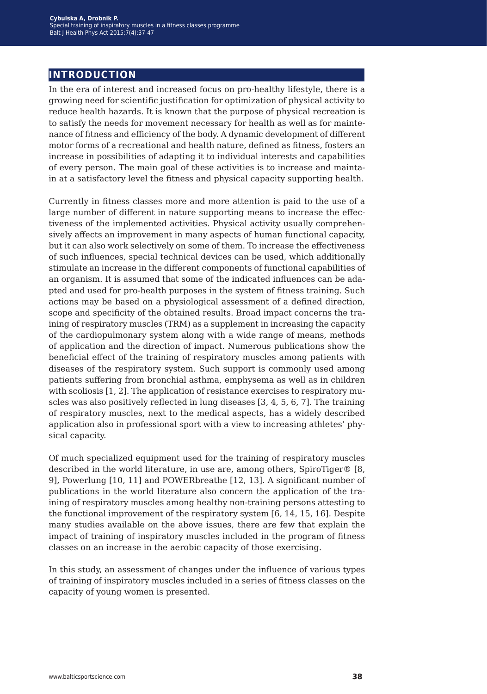# **introduction**

In the era of interest and increased focus on pro-healthy lifestyle, there is a growing need for scientific justification for optimization of physical activity to reduce health hazards. It is known that the purpose of physical recreation is to satisfy the needs for movement necessary for health as well as for maintenance of fitness and efficiency of the body. A dynamic development of different motor forms of a recreational and health nature, defined as fitness, fosters an increase in possibilities of adapting it to individual interests and capabilities of every person. The main goal of these activities is to increase and maintain at a satisfactory level the fitness and physical capacity supporting health.

Currently in fitness classes more and more attention is paid to the use of a large number of different in nature supporting means to increase the effectiveness of the implemented activities. Physical activity usually comprehensively affects an improvement in many aspects of human functional capacity, but it can also work selectively on some of them. To increase the effectiveness of such influences, special technical devices can be used, which additionally stimulate an increase in the different components of functional capabilities of an organism. It is assumed that some of the indicated influences can be adapted and used for pro-health purposes in the system of fitness training. Such actions may be based on a physiological assessment of a defined direction, scope and specificity of the obtained results. Broad impact concerns the training of respiratory muscles (TRM) as a supplement in increasing the capacity of the cardiopulmonary system along with a wide range of means, methods of application and the direction of impact. Numerous publications show the beneficial effect of the training of respiratory muscles among patients with diseases of the respiratory system. Such support is commonly used among patients suffering from bronchial asthma, emphysema as well as in children with scoliosis [1, 2]. The application of resistance exercises to respiratory muscles was also positively reflected in lung diseases [3, 4, 5, 6, 7]. The training of respiratory muscles, next to the medical aspects, has a widely described application also in professional sport with a view to increasing athletes' physical capacity.

Of much specialized equipment used for the training of respiratory muscles described in the world literature, in use are, among others, SpiroTiger® [8, 9], Powerlung [10, 11] and POWERbreathe [12, 13]. A significant number of publications in the world literature also concern the application of the training of respiratory muscles among healthy non-training persons attesting to the functional improvement of the respiratory system [6, 14, 15, 16]. Despite many studies available on the above issues, there are few that explain the impact of training of inspiratory muscles included in the program of fitness classes on an increase in the aerobic capacity of those exercising.

In this study, an assessment of changes under the influence of various types of training of inspiratory muscles included in a series of fitness classes on the capacity of young women is presented.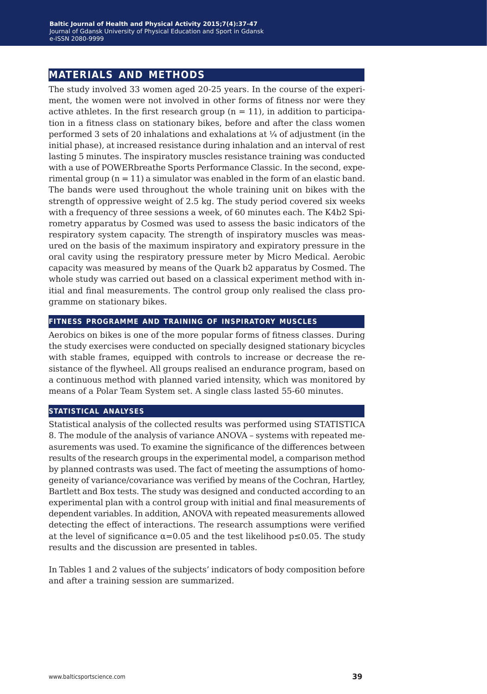## **materials and methods**

The study involved 33 women aged 20-25 years. In the course of the experiment, the women were not involved in other forms of fitness nor were they active athletes. In the first research group  $(n = 11)$ , in addition to participation in a fitness class on stationary bikes, before and after the class women performed 3 sets of 20 inhalations and exhalations at  $\frac{1}{4}$  of adjustment (in the initial phase), at increased resistance during inhalation and an interval of rest lasting 5 minutes. The inspiratory muscles resistance training was conducted with a use of POWERbreathe Sports Performance Classic. In the second, experimental group  $(n = 11)$  a simulator was enabled in the form of an elastic band. The bands were used throughout the whole training unit on bikes with the strength of oppressive weight of 2.5 kg. The study period covered six weeks with a frequency of three sessions a week, of 60 minutes each. The K4b2 Spirometry apparatus by Cosmed was used to assess the basic indicators of the respiratory system capacity. The strength of inspiratory muscles was measured on the basis of the maximum inspiratory and expiratory pressure in the oral cavity using the respiratory pressure meter by Micro Medical. Aerobic capacity was measured by means of the Quark b2 apparatus by Cosmed. The whole study was carried out based on a classical experiment method with initial and final measurements. The control group only realised the class programme on stationary bikes.

#### **fitness programme and training of inspiratory muscles**

Aerobics on bikes is one of the more popular forms of fitness classes. During the study exercises were conducted on specially designed stationary bicycles with stable frames, equipped with controls to increase or decrease the resistance of the flywheel. All groups realised an endurance program, based on a continuous method with planned varied intensity, which was monitored by means of a Polar Team System set. A single class lasted 55-60 minutes.

#### **statistical analyses**

Statistical analysis of the collected results was performed using STATISTICA 8. The module of the analysis of variance ANOVA – systems with repeated measurements was used. To examine the significance of the differences between results of the research groups in the experimental model, a comparison method by planned contrasts was used. The fact of meeting the assumptions of homogeneity of variance/covariance was verified by means of the Cochran, Hartley, Bartlett and Box tests. The study was designed and conducted according to an experimental plan with a control group with initial and final measurements of dependent variables. In addition, ANOVA with repeated measurements allowed detecting the effect of interactions. The research assumptions were verified at the level of significance  $\alpha$ =0.05 and the test likelihood  $p \le 0.05$ . The study results and the discussion are presented in tables.

In Tables 1 and 2 values of the subjects' indicators of body composition before and after a training session are summarized.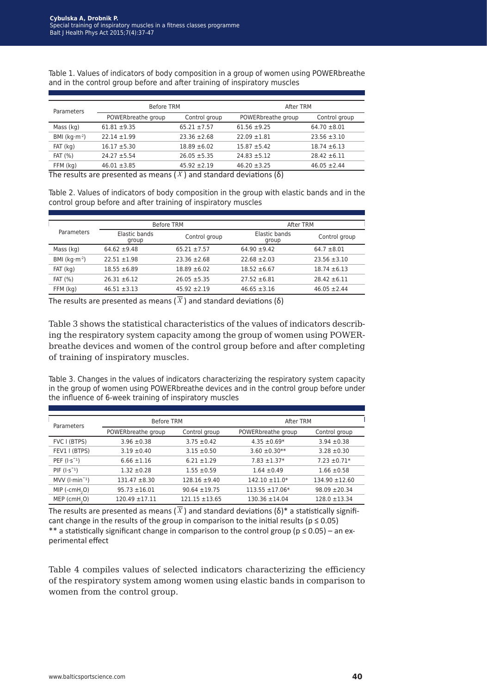| Parameters       | <b>Before TRM</b>                                                |                  | After TRM          |                  |
|------------------|------------------------------------------------------------------|------------------|--------------------|------------------|
|                  | POWERbreathe group                                               | Control group    | POWERbreathe group | Control group    |
| Mass (kg)        | $61.81 + 9.35$                                                   | $65.21 \pm 7.57$ | $61.56 \pm 9.25$   | $64.70 \pm 8.01$ |
| BMI ( $kg·m-2$ ) | $22.14 \pm 1.99$                                                 | $23.36 \pm 2.68$ | $22.09 \pm 1.81$   | $23.56 \pm 3.10$ |
| $FAT$ ( $kg$ )   | $16.17 \pm 5.30$                                                 | $18.89 \pm 6.02$ | $15.87 + 5.42$     | $18.74 \pm 6.13$ |
| <b>FAT (%)</b>   | $24.27 \pm 5.54$                                                 | $26.05 \pm 5.35$ | $24.83 \pm 5.12$   | $28.42 \pm 6.11$ |
| FFM (kg)         | $46.01 \pm 3.85$<br>the concertaint and concertaint and concerta | $45.92 \pm 2.19$ | $46.20 \pm 3.25$   | $46.05 \pm 2.44$ |

Table 1. Values of indicators of body composition in a group of women using POWERbreathe and in the control group before and after training of inspiratory muscles

The results are presented as means  $(X)$  and standard deviations  $(\delta)$ 

Table 2. Values of indicators of body composition in the group with elastic bands and in the control group before and after training of inspiratory muscles

|                  | <b>Before TRM</b>      |                  | After TRM              |                  |
|------------------|------------------------|------------------|------------------------|------------------|
| Parameters       | Elastic bands<br>group | Control group    | Elastic bands<br>group | Control group    |
| Mass (kg)        | $64.62 \pm 9.48$       | $65.21 \pm 7.57$ | $64.90 \pm 9.42$       | $64.7 \pm 8.01$  |
| BMI ( $kg·m-2$ ) | $22.51 \pm 1.98$       | $23.36 \pm 2.68$ | $22.68 \pm 2.03$       | $23.56 \pm 3.10$ |
| $FAT$ ( $kg$ )   | $18.55 \pm 6.89$       | $18.89 \pm 6.02$ | $18.52 \pm 6.67$       | $18.74 \pm 6.13$ |
| <b>FAT (%)</b>   | $26.31 \pm 6.12$       | $26.05 \pm 5.35$ | $27.52 \pm 6.81$       | $28.42 \pm 6.11$ |
| FFM (kg)         | $46.51 \pm 3.13$       | $45.92 \pm 2.19$ | $46.65 \pm 3.16$       | $46.05 \pm 2.44$ |

The results are presented as means ( $\overline{X}$ ) and standard deviations ( $\delta$ )

Table 3 shows the statistical characteristics of the values of indicators describing the respiratory system capacity among the group of women using POWERbreathe devices and women of the control group before and after completing of training of inspiratory muscles.

Table 3. Changes in the values of indicators characterizing the respiratory system capacity in the group of women using POWERbreathe devices and in the control group before under the influence of 6-week training of inspiratory muscles

| Parameters                  | Before TRM         |                    | After TRM          |                    |
|-----------------------------|--------------------|--------------------|--------------------|--------------------|
|                             | POWERbreathe group | Control group      | POWERbreathe group | Control group      |
| FVC I (BTPS)                | $3.96 \pm 0.38$    | $3.75 \pm 0.42$    | 4.35 $\pm$ 0.69*   | $3.94 \pm 0.38$    |
| FEV1   (BTPS)               | $3.19 \pm 0.40$    | $3.15 \pm 0.50$    | $3.60 \pm 0.30**$  | $3.28 \pm 0.30$    |
| PEF $(l·s-1)$               | $6.66 \pm 1.16$    | $6.21 \pm 1.29$    | $7.83 \pm 1.37*$   | $7.23 \pm 0.71*$   |
| $PIF(I·S^{-1})$             | $1.32 \pm 0.28$    | $1.55 \pm 0.59$    | $1.64 \pm 0.49$    | $1.66 \pm 0.58$    |
| $MV$ ( $l·min^{-1}$ )       | $131.47 \pm 8.30$  | $128.16 \pm 9.40$  | $142.10 \pm 11.0*$ | $134.90 \pm 12.60$ |
| $MIP$ (-cmH <sub>2</sub> O) | $95.73 \pm 16.01$  | $90.64 \pm 19.75$  | 113.55 ±17.06*     | $98.09 \pm 20.34$  |
| $MEP$ (cmH <sub>2</sub> O)  | $120.49 \pm 17.11$ | $121.15 \pm 13.65$ | $130.36 \pm 14.04$ | $128.0 \pm 13.34$  |

The results are presented as means  $(\overline{X})$  and standard deviations ( $\delta$ )\* a statistically significant change in the results of the group in comparison to the initial results ( $p \le 0.05$ ) \*\* a statistically significant change in comparison to the control group ( $p \le 0.05$ ) – an experimental effect

Table 4 compiles values of selected indicators characterizing the efficiency of the respiratory system among women using elastic bands in comparison to women from the control group.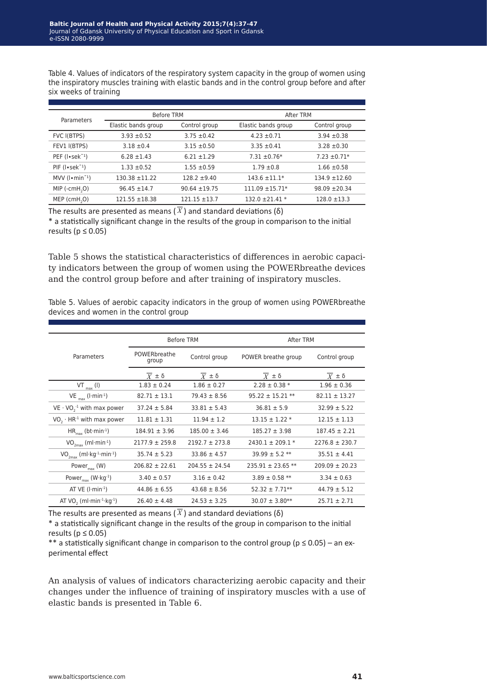Table 4. Values of indicators of the respiratory system capacity in the group of women using the inspiratory muscles training with elastic bands and in the control group before and after six weeks of training

| Parameters                                     | <b>Before TRM</b>   |                   |                     | After TRM         |  |
|------------------------------------------------|---------------------|-------------------|---------------------|-------------------|--|
|                                                | Elastic bands group | Control group     | Elastic bands group | Control group     |  |
| FVC I(BTPS)                                    | $3.93 \pm 0.52$     | $3.75 \pm 0.42$   | $4.23 \pm 0.71$     | $3.94 \pm 0.38$   |  |
| FEV1 I(BTPS)                                   | $3.18 \pm 0.4$      | $3.15 \pm 0.50$   | $3.35 \pm 0.41$     | $3.28 \pm 0.30$   |  |
| PEF $(I \cdot \text{sek}^{-1})$                | $6.28 \pm 1.43$     | $6.21 \pm 1.29$   | $7.31 \pm 0.76*$    | $7.23 \pm 0.71*$  |  |
| $PIF(I \cdot \text{sek}^{-1})$                 | $1.33 \pm 0.52$     | $1.55 \pm 0.59$   | $1.79 \pm 0.8$      | $1.66 \pm 0.58$   |  |
| $MV$ ( $\lceil \cdot \text{min}^{-1} \rceil$ ) | $130.38 \pm 11.22$  | $128.2 \pm 9.40$  | $143.6 \pm 11.1*$   | $134.9 \pm 12.60$ |  |
| $MIP$ (-cmH <sub>2</sub> O)                    | $96.45 \pm 14.7$    | $90.64 \pm 19.75$ | $111.09 \pm 15.71*$ | $98.09 \pm 20.34$ |  |
| $MEP$ (cmH <sub>3</sub> O)                     | $121.55 \pm 18.38$  | $121.15 \pm 13.7$ | $132.0 \pm 21.41$ * | $128.0 \pm 13.3$  |  |

The results are presented as means ( $\overline{X}$ ) and standard deviations ( $\delta$ )

\* a statistically significant change in the results of the group in comparison to the initial results ( $p \leq 0.05$ )

Table 5 shows the statistical characteristics of differences in aerobic capacity indicators between the group of women using the POWERbreathe devices and the control group before and after training of inspiratory muscles.

Table 5. Values of aerobic capacity indicators in the group of women using POWERbreathe devices and women in the control group

|                                                                  | <b>Before TRM</b>     |                    | After TRM             |                    |
|------------------------------------------------------------------|-----------------------|--------------------|-----------------------|--------------------|
| Parameters                                                       | POWERbreathe<br>group | Control group      | POWER breathe group   | Control group      |
|                                                                  | $X \pm \delta$        | $X \pm \delta$     | $X = \delta$          | $X \pm \delta$     |
| $VT_{max} (I)$                                                   | $1.83 \pm 0.24$       | $1.86 \pm 0.27$    | $2.28 \pm 0.38$ *     | $1.96 \pm 0.36$    |
| VE $_{\text{max}}$ (l·min <sup>-1</sup> )                        | $82.71 \pm 13.1$      | $79.43 \pm 8.56$   | $95.22 \pm 15.21$ **  | $82.11 \pm 13.27$  |
| $VE \cdot VO_{2}^{-1}$ with max power                            | $37.24 \pm 5.84$      | $33.81 \pm 5.43$   | $36.81 \pm 5.9$       | $32.99 \pm 5.22$   |
| $VO,·HR-1$ with max power                                        | $11.81 \pm 1.31$      | $11.94 \pm 1.2$    | $13.15 \pm 1.22$ *    | $12.15 \pm 1.13$   |
| $HR_{max}$ (bt·min <sup>-1</sup> )                               | $184.91 \pm 3.96$     | $185.00 \pm 3.46$  | $185.27 \pm 3.98$     | $187.45 \pm 2.21$  |
| $VO_{2max}$ (ml·min <sup>-1</sup> )                              | $2177.9 \pm 259.8$    | $2192.7 \pm 273.8$ | $2430.1 \pm 209.1$ *  | $2276.8 \pm 230.7$ |
| $VO_{2max}$ (ml·kg <sup>-1</sup> ·min <sup>-1</sup> )            | $35.74 \pm 5.23$      | $33.86 \pm 4.57$   | $39.99 \pm 5.2$ **    | $35.51 \pm 4.41$   |
| Power <sub>max</sub> (W)                                         | $206.82 \pm 22.61$    | $204.55 \pm 24.54$ | $235.91 \pm 23.65$ ** | $209.09 \pm 20.23$ |
| Power <sub>max</sub> (W·kg <sup>-1</sup> )                       | $3.40 \pm 0.57$       | $3.16 \pm 0.42$    | $3.89 \pm 0.58$ **    | $3.34 \pm 0.63$    |
| AT $VE$ ( $l$ ·min <sup>-1</sup> )                               | $44.86 \pm 6.55$      | $43.68 \pm 8.56$   | $52.32 \pm 7.71**$    | $44.79 \pm 5.12$   |
| AT VO <sub>2</sub> (ml $\cdot$ min $\cdot$ $\cdot$ kg $\cdot$ l) | $26.40 \pm 4.48$      | $24.53 \pm 3.25$   | $30.07 \pm 3.80**$    | $25.71 \pm 2.71$   |

The results are presented as means ( $\overline{X}$ ) and standard deviations (δ)

\* a statistically significant change in the results of the group in comparison to the initial results ( $p \leq 0.05$ )

\*\* a statistically significant change in comparison to the control group ( $p \le 0.05$ ) – an experimental effect

An analysis of values of indicators characterizing aerobic capacity and their changes under the influence of training of inspiratory muscles with a use of elastic bands is presented in Table 6.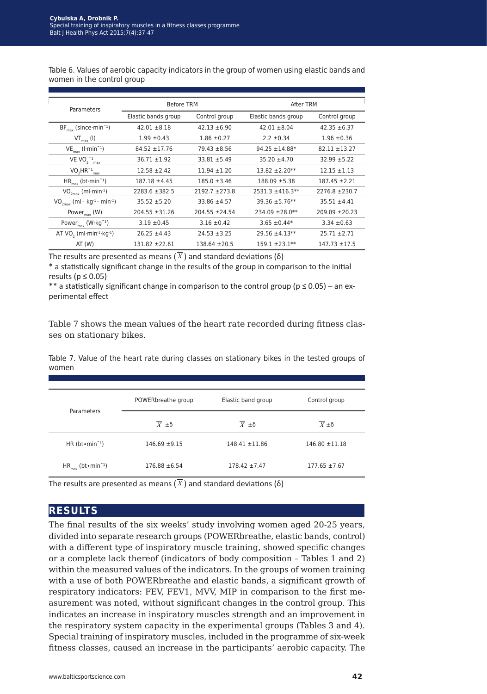Table 6. Values of aerobic capacity indicators in the group of women using elastic bands and women in the control group

| Parameters                                               | <b>Before TRM</b>   |                    | After TRM            |                    |
|----------------------------------------------------------|---------------------|--------------------|----------------------|--------------------|
|                                                          | Elastic bands group | Control group      | Elastic bands group  | Control group      |
| $BF_{\text{max}}$ (since min <sup>-1</sup> )             | $42.01 \pm 8.18$    | $42.13 \pm 6.90$   | $42.01 \pm 8.04$     | $42.35 \pm 6.37$   |
| $VT_{max} (I)$                                           | $1.99 \pm 0.43$     | $1.86 \pm 0.27$    | $2.2 \pm 0.34$       | $1.96 \pm 0.36$    |
| $VE_{max}$ ( $l·min^{-1}$ )                              | $84.52 \pm 17.76$   | $79.43 \pm 8.56$   | $94.25 \pm 14.88*$   | $82.11 \pm 13.27$  |
| VE VO $_2^{-1}$ <sub>max</sub>                           | $36.71 \pm 1.92$    | $33.81 \pm 5.49$   | $35.20 \pm 4.70$     | $32.99 \pm 5.22$   |
| $VO2HR-1max$                                             | $12.58 \pm 2.42$    | $11.94 \pm 1.20$   | $13.82 \pm 2.20**$   | $12.15 \pm 1.13$   |
| $HR_{max}$ (bt·min <sup>-1</sup> )                       | $187.18 \pm 4.45$   | $185.0 \pm 3.46$   | $188.09 \pm 5.38$    | $187.45 \pm 2.21$  |
| $VO_{2max}$ (ml·min <sup>-1</sup> )                      | 2283.6 ±382.5       | $2192.7 \pm 273.8$ | $2531.3 \pm 416.3**$ | $2276.8 \pm 230.7$ |
| $VO_{2max}$ (ml · kg <sup>-1</sup> · min <sup>-1</sup> ) | $35.52 \pm 5.20$    | $33.86 \pm 4.57$   | $39.36 \pm 5.76**$   | $35.51 \pm 4.41$   |
| Power <sub>max</sub> (W)                                 | $204.55 \pm 31.26$  | $204.55 \pm 24.54$ | $234.09 \pm 28.0**$  | $209.09 \pm 20.23$ |
| Power $_{max}$ (W·kg <sup>-1</sup> )                     | $3.19 \pm 0.45$     | $3.16 \pm 0.42$    | $3.65 \pm 0.44*$     | $3.34 \pm 0.63$    |
| AT VO, $(ml·min-1·kg-1)$                                 | $26.25 \pm 4.43$    | $24.53 \pm 3.25$   | $29.56 \pm 4.13**$   | $25.71 \pm 2.71$   |
| AT(W)                                                    | $131.82 + 22.61$    | $138.64 \pm 20.5$  | $159.1 \pm 23.1**$   | $147.73 \pm 17.5$  |

The results are presented as means ( $\overline{X}$ ) and standard deviations ( $\delta$ )

\* a statistically significant change in the results of the group in comparison to the initial results ( $p \leq 0.05$ )

\*\* a statistically significant change in comparison to the control group ( $p \le 0.05$ ) – an experimental effect

Table 7 shows the mean values of the heart rate recorded during fitness classes on stationary bikes.

Table 7. Value of the heart rate during classes on stationary bikes in the tested groups of women

| Parameters                         | POWERbreathe group        | Elastic band group | Control group      |
|------------------------------------|---------------------------|--------------------|--------------------|
|                                    | $\overline{X} \pm \delta$ | $X \pm \delta$     | $X \pm \delta$     |
| HR $(bt \cdot min^{-1})$           | $146.69 \pm 9.15$         | $148.41 \pm 11.86$ | $146.80 \pm 11.18$ |
| $HR_{max}$ (bt•min <sup>-1</sup> ) | $176.88 \pm 6.54$         | $178.42 \pm 7.47$  | $177.65 \pm 7.67$  |

The results are presented as means  $(\overline{X})$  and standard deviations ( $\delta$ )

### **results**

The final results of the six weeks' study involving women aged 20-25 years, divided into separate research groups (POWERbreathe, elastic bands, control) with a different type of inspiratory muscle training, showed specific changes or a complete lack thereof (indicators of body composition – Tables 1 and 2) within the measured values of the indicators. In the groups of women training with a use of both POWERbreathe and elastic bands, a significant growth of respiratory indicators: FEV, FEV1, MVV, MIP in comparison to the first measurement was noted, without significant changes in the control group. This indicates an increase in inspiratory muscles strength and an improvement in the respiratory system capacity in the experimental groups (Tables 3 and 4). Special training of inspiratory muscles, included in the programme of six-week fitness classes, caused an increase in the participants' aerobic capacity. The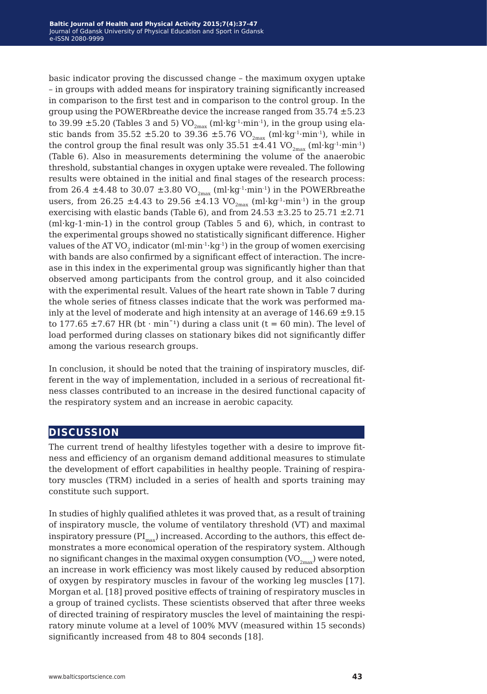basic indicator proving the discussed change – the maximum oxygen uptake – in groups with added means for inspiratory training significantly increased in comparison to the first test and in comparison to the control group. In the group using the POWERbreathe device the increase ranged from 35.74 ±5.23 to 39.99  $\pm$ 5.20 (Tables 3 and 5) VO<sub>2max</sub> (ml·kg<sup>-1</sup>·min<sup>-1</sup>), in the group using elastic bands from 35.52  $\pm$ 5.20 to 39.36  $\pm$ 5.76 VO<sub>2max</sub> (ml·kg<sup>-1</sup>·min<sup>-1</sup>), while in the control group the final result was only 35.51  $\pm$ 4.41 VO<sub>2max</sub> (ml·kg<sup>-1</sup>·min<sup>-1</sup>) (Table 6). Also in measurements determining the volume of the anaerobic threshold, substantial changes in oxygen uptake were revealed. The following results were obtained in the initial and final stages of the research process: from 26.4  $\pm$ 4.48 to 30.07  $\pm$ 3.80 VO<sub>2max</sub> (ml·kg<sup>-1</sup>·min<sup>-1</sup>) in the POWERbreathe users, from 26.25  $\pm$ 4.43 to 29.56  $\pm$ 4.13 VO<sub>2max</sub> (ml·kg<sup>-1</sup>·min<sup>-1</sup>) in the group exercising with elastic bands (Table 6), and from  $24.53 \pm 3.25$  to  $25.71 \pm 2.71$ (ml·kg-1·min-1) in the control group (Tables 5 and 6), which, in contrast to the experimental groups showed no statistically significant difference. Higher values of the AT VO<sub>2</sub> indicator (ml·min<sup>-1</sup>·kg<sup>-1</sup>) in the group of women exercising with bands are also confirmed by a significant effect of interaction. The increase in this index in the experimental group was significantly higher than that observed among participants from the control group, and it also coincided with the experimental result. Values of the heart rate shown in Table 7 during the whole series of fitness classes indicate that the work was performed mainly at the level of moderate and high intensity at an average of  $146.69 \pm 9.15$ to 177.65  $\pm$  7.67 HR (bt · min<sup>-1</sup>) during a class unit (t = 60 min). The level of load performed during classes on stationary bikes did not significantly differ among the various research groups.

In conclusion, it should be noted that the training of inspiratory muscles, different in the way of implementation, included in a serious of recreational fitness classes contributed to an increase in the desired functional capacity of the respiratory system and an increase in aerobic capacity.

### **discussion**

The current trend of healthy lifestyles together with a desire to improve fitness and efficiency of an organism demand additional measures to stimulate the development of effort capabilities in healthy people. Training of respiratory muscles (TRM) included in a series of health and sports training may constitute such support.

In studies of highly qualified athletes it was proved that, as a result of training of inspiratory muscle, the volume of ventilatory threshold (VT) and maximal inspiratory pressure  $(PI_{max})$  increased. According to the authors, this effect demonstrates a more economical operation of the respiratory system. Although no significant changes in the maximal oxygen consumption  $(VO_{2m}V)$  were noted, an increase in work efficiency was most likely caused by reduced absorption of oxygen by respiratory muscles in favour of the working leg muscles [17]. Morgan et al. [18] proved positive effects of training of respiratory muscles in a group of trained cyclists. These scientists observed that after three weeks of directed training of respiratory muscles the level of maintaining the respiratory minute volume at a level of 100% MVV (measured within 15 seconds) significantly increased from 48 to 804 seconds [18].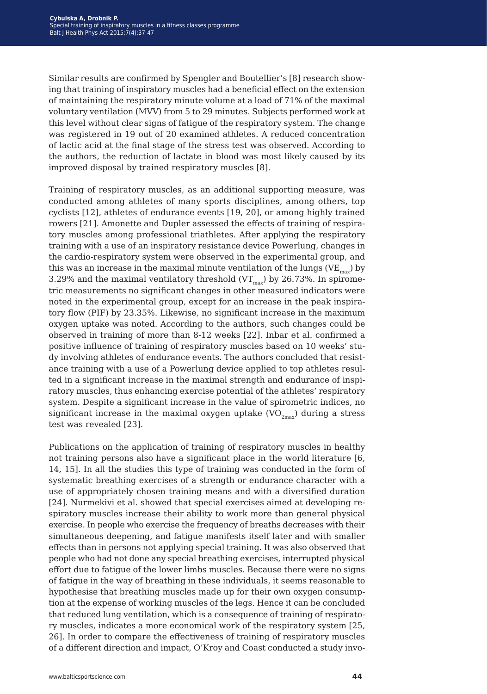Similar results are confirmed by Spengler and Boutellier's [8] research showing that training of inspiratory muscles had a beneficial effect on the extension of maintaining the respiratory minute volume at a load of 71% of the maximal voluntary ventilation (MVV) from 5 to 29 minutes. Subjects performed work at this level without clear signs of fatigue of the respiratory system. The change was registered in 19 out of 20 examined athletes. A reduced concentration of lactic acid at the final stage of the stress test was observed. According to the authors, the reduction of lactate in blood was most likely caused by its improved disposal by trained respiratory muscles [8].

Training of respiratory muscles, as an additional supporting measure, was conducted among athletes of many sports disciplines, among others, top cyclists [12], athletes of endurance events [19, 20], or among highly trained rowers [21]. Amonette and Dupler assessed the effects of training of respiratory muscles among professional triathletes. After applying the respiratory training with a use of an inspiratory resistance device Powerlung, changes in the cardio-respiratory system were observed in the experimental group, and this was an increase in the maximal minute ventilation of the lungs ( $VE_{\text{max}}$ ) by 3.29% and the maximal ventilatory threshold  $(VT<sub>max</sub>)$  by 26.73%. In spirometric measurements no significant changes in other measured indicators were noted in the experimental group, except for an increase in the peak inspiratory flow (PIF) by 23.35%. Likewise, no significant increase in the maximum oxygen uptake was noted. According to the authors, such changes could be observed in training of more than 8-12 weeks [22]. Inbar et al. confirmed a positive influence of training of respiratory muscles based on 10 weeks' study involving athletes of endurance events. The authors concluded that resistance training with a use of a Powerlung device applied to top athletes resulted in a significant increase in the maximal strength and endurance of inspiratory muscles, thus enhancing exercise potential of the athletes' respiratory system. Despite a significant increase in the value of spirometric indices, no significant increase in the maximal oxygen uptake  $(VO_{2m}^{\dagger})$  during a stress test was revealed [23].

Publications on the application of training of respiratory muscles in healthy not training persons also have a significant place in the world literature [6, 14, 15]. In all the studies this type of training was conducted in the form of systematic breathing exercises of a strength or endurance character with a use of appropriately chosen training means and with a diversified duration [24]. Nurmekivi et al. showed that special exercises aimed at developing respiratory muscles increase their ability to work more than general physical exercise. In people who exercise the frequency of breaths decreases with their simultaneous deepening, and fatigue manifests itself later and with smaller effects than in persons not applying special training. It was also observed that people who had not done any special breathing exercises, interrupted physical effort due to fatigue of the lower limbs muscles. Because there were no signs of fatigue in the way of breathing in these individuals, it seems reasonable to hypothesise that breathing muscles made up for their own oxygen consumption at the expense of working muscles of the legs. Hence it can be concluded that reduced lung ventilation, which is a consequence of training of respiratory muscles, indicates a more economical work of the respiratory system [25, 26]. In order to compare the effectiveness of training of respiratory muscles of a different direction and impact, O'Kroy and Coast conducted a study invo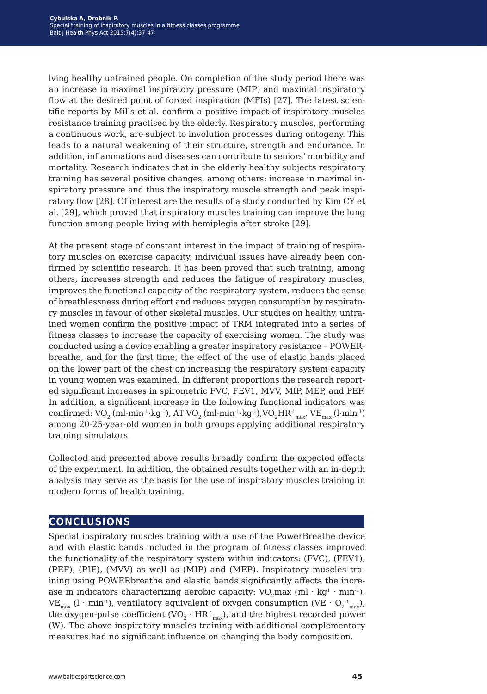lving healthy untrained people. On completion of the study period there was an increase in maximal inspiratory pressure (MIP) and maximal inspiratory flow at the desired point of forced inspiration (MFIs) [27]. The latest scientific reports by Mills et al. confirm a positive impact of inspiratory muscles resistance training practised by the elderly. Respiratory muscles, performing a continuous work, are subject to involution processes during ontogeny. This leads to a natural weakening of their structure, strength and endurance. In addition, inflammations and diseases can contribute to seniors' morbidity and mortality. Research indicates that in the elderly healthy subjects respiratory training has several positive changes, among others: increase in maximal inspiratory pressure and thus the inspiratory muscle strength and peak inspiratory flow [28]. Of interest are the results of a study conducted by Kim CY et al. [29], which proved that inspiratory muscles training can improve the lung function among people living with hemiplegia after stroke [29].

At the present stage of constant interest in the impact of training of respiratory muscles on exercise capacity, individual issues have already been confirmed by scientific research. It has been proved that such training, among others, increases strength and reduces the fatigue of respiratory muscles, improves the functional capacity of the respiratory system, reduces the sense of breathlessness during effort and reduces oxygen consumption by respiratory muscles in favour of other skeletal muscles. Our studies on healthy, untrained women confirm the positive impact of TRM integrated into a series of fitness classes to increase the capacity of exercising women. The study was conducted using a device enabling a greater inspiratory resistance – POWERbreathe, and for the first time, the effect of the use of elastic bands placed on the lower part of the chest on increasing the respiratory system capacity in young women was examined. In different proportions the research reported significant increases in spirometric FVC, FEV1, MVV, MIP, MEP, and PEF. In addition, a significant increase in the following functional indicators was confirmed:  $\rm{VO}_2$  (ml·min<sup>-1</sup>·kg<sup>-1</sup>), AT  $\rm{VO}_2$  (ml·min<sup>-1</sup>·kg<sup>-1</sup>), $\rm{VO}_2 \rm{HR^1}_{max'}$ ,  $\rm{VE}_{max}$  (l·min<sup>-1</sup>) among 20-25-year-old women in both groups applying additional respiratory training simulators.

Collected and presented above results broadly confirm the expected effects of the experiment. In addition, the obtained results together with an in-depth analysis may serve as the basis for the use of inspiratory muscles training in modern forms of health training.

# **conclusions**

Special inspiratory muscles training with a use of the PowerBreathe device and with elastic bands included in the program of fitness classes improved the functionality of the respiratory system within indicators: (FVC), (FEV1), (PEF), (PIF), (MVV) as well as (MIP) and (MEP). Inspiratory muscles training using POWERbreathe and elastic bands significantly affects the increase in indicators characterizing aerobic capacity:  $VO_2$ max (ml·kg<sup>1</sup>·min<sup>-1</sup>),  $\mathrm{VE}_{\mathrm{max}}$  (l · min<sup>-1</sup>), ventilatory equivalent of oxygen consumption (VE ·  $\mathrm{O_{2}^{-1}}_{\mathrm{max}}$ ), the oxygen-pulse coefficient (VO<sub>2</sub>  $\cdot$  HR<sup>-1</sup><sub>max</sub>), and the highest recorded power (W). The above inspiratory muscles training with additional complementary measures had no significant influence on changing the body composition.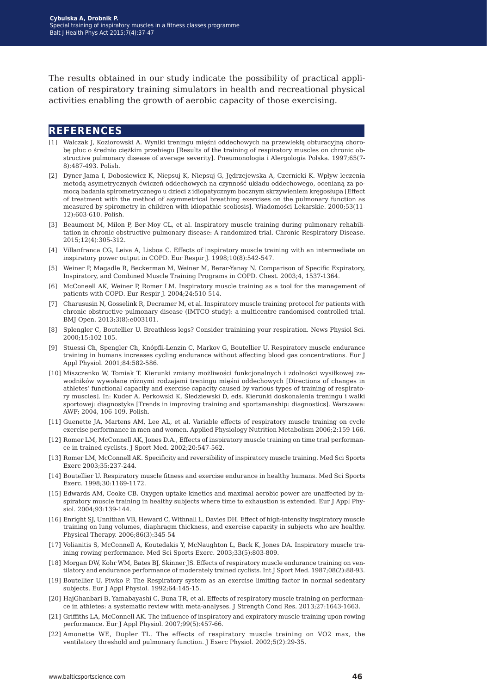The results obtained in our study indicate the possibility of practical application of respiratory training simulators in health and recreational physical activities enabling the growth of aerobic capacity of those exercising.

#### **references**

- [1] Walczak J, Koziorowski A. Wyniki treningu mięśni oddechowych na przewlekłą obturacyjną chorobę płuc o średnio ciężkim przebiegu [Results of the training of respiratory muscles on chronic obstructive pulmonary disease of average severity]. Pneumonologia i Alergologia Polska. 1997;65(7- 8):487-493. Polish.
- [2] Dyner-Jama I, Dobosiewicz K, Niepsuj K, Niepsuj G, Jędrzejewska A, Czernicki K. Wpływ leczenia metodą asymetrycznych ćwiczeń oddechowych na czynność układu oddechowego, ocenianą za pomocą badania spirometrycznego u dzieci z idiopatycznym bocznym skrzywieniem kręgosłupa [Effect of treatment with the method of asymmetrical breathing exercises on the pulmonary function as measured by spirometry in children with idiopathic scoliosis]. Wiadomości Lekarskie. 2000;53(11- 12):603-610. Polish.
- [3] Beaumont M, Milon P, Ber-Moy CL, et al. Inspiratory muscle training during pulmonary rehabilitation in chronic obstructive pulmonary disease: A randomized trial. Chronic Respiratory Disease. 2015;12(4):305-312.
- [4] Villanfranca CG, Leiva A, Lisboa C. Effects of inspiratory muscle training with an intermediate on inspiratory power output in COPD. Eur Respir J. 1998;10(8):542-547.
- [5] Weiner P, Magadle R, Beckerman M, Weiner M, Berar-Yanay N. Comparison of Specific Expiratory, Inspiratory, and Combined Muscle Training Programs in COPD. Chest. 2003;4, 1537-1364.
- [6] McConeell AK, Weiner P, Romer LM. Inspiratory muscle training as a tool for the management of patients with COPD. Eur Respir J. 2004;24:510-514.
- [7] Charususin N, Gosselink R, Decramer M, et al. Inspiratory muscle training protocol for patients with chronic obstructive pulmonary disease (IMTCO study): a multicentre randomised controlled trial. BMJ Open. 2013;3(8):e003101.
- [8] Splengler C, Boutellier U. Breathless legs? Consider trainining your respiration. News Physiol Sci. 2000;15:102-105.
- [9] Stuessi Ch, Spengler Ch, Knópfli-Lenzin C, Markov G, Boutellier U. Respiratory muscle endurance training in humans increases cycling endurance without affecting blood gas concentrations. Eur J Appl Physiol. 2001;84:582-586.
- [10] Miszczenko W, Tomiak T. Kierunki zmiany możliwości funkcjonalnych i zdolności wysiłkowej zawodników wywołane różnymi rodzajami treningu mięśni oddechowych [Directions of changes in athletes' functional capacity and exercise capacity caused by various types of training of respiratory muscles]. In: Kuder A, Perkowski K, Śledziewski D, eds. Kierunki doskonalenia treningu i walki sportowej: diagnostyka [Trends in improving training and sportsmanship: diagnostics]. Warszawa: AWF; 2004, 106-109. Polish.
- [11] Guenette JA, Martens AM, Lee AL, et al. Variable effects of respiratory muscle training on cycle exercise performance in men and women. Applied Physiology Nutrition Metabolism 2006;2:159-166.
- [12] Romer LM, McConnell AK, Jones D.A., Effects of inspiratory muscle training on time trial performance in trained cyclists. J Sport Med. 2002;20:547-562.
- [13] Romer LM, McConnell AK. Specificity and reversibility of inspiratory muscle training. Med Sci Sports Exerc 2003;35:237-244.
- [14] Boutellier U. Respiratory muscle fitness and exercise endurance in healthy humans. Med Sci Sports Exerc. 1998;30:1169-1172.
- [15] Edwards AM, Cooke CB. Oxygen uptake kinetics and maximal aerobic power are unaffected by inspiratory muscle training in healthy subjects where time to exhaustion is extended. Eur J Appl Physiol. 2004;93:139-144.
- [16] Enright SJ, Unnithan VB, Heward C, Withnall L, Davies DH. Effect of high-intensity inspiratory muscle training on lung volumes, diaphragm thickness, and exercise capacity in subjects who are healthy. Physical Therapy. 2006;86(3):345-54
- [17] Volianitis S, McConnell A, Koutedakis Y, McNaughton L, Back K, Jones DA. Inspiratory muscle training rowing performance. Med Sci Sports Exerc. 2003;33(5):803-809.
- [18] Morgan DW, Kohr WM, Bates BJ, Skinner JS. Effects of respiratory muscle endurance training on ventilatory and endurance performance of moderately trained cyclists. Int J Sport Med. 1987;08(2):88-93.
- [19] Boutellier U, Piwko P. The Respiratory system as an exercise limiting factor in normal sedentary subjects. Eur J Appl Physiol. 1992;64:145-15.
- [20] HajGhanbari B, Yamabayashi C, Buna TR, et al. Effects of respiratory muscle training on performance in athletes: a systematic review with meta-analyses. J Strength Cond Res. 2013;27:1643-1663.
- [21] Griffiths LA, McConnell AK. The influence of inspiratory and expiratory muscle training upon rowing performance. Eur J Appl Physiol. 2007;99(5):457-66.
- [22] Amonette WE, Dupler TL. The effects of respiratory muscle training on VO2 max, the ventilatory threshold and pulmonary function. J Exerc Physiol. 2002;5(2):29-35.